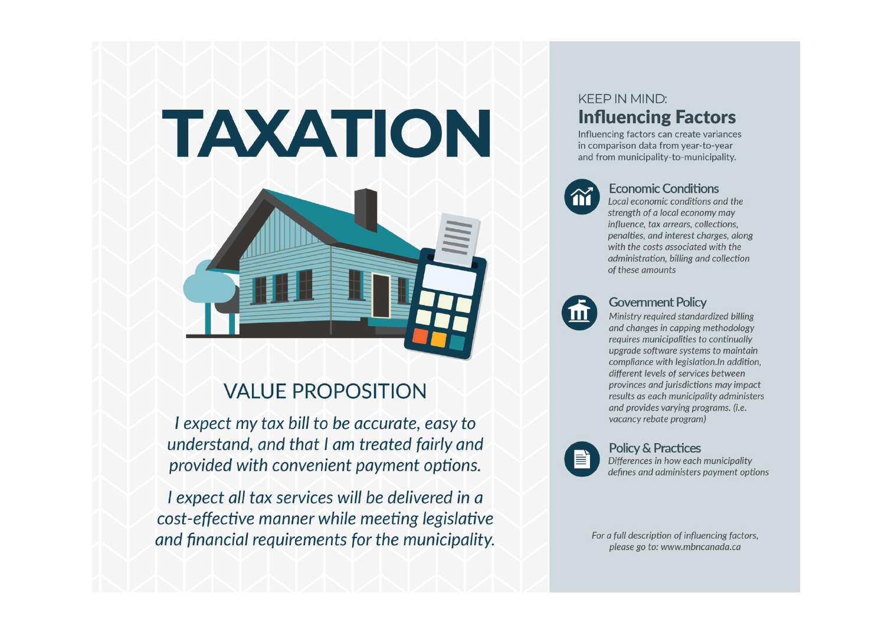# TAXATION



# **VALUE PROPOSITION**

I expect my tax bill to be accurate, easy to understand, and that I am treated fairly and provided with convenient payment options.

I expect all tax services will be delivered in a cost-effective manner while meeting legislative and financial requirements for the municipality.

## **KEEP IN MIND: Influencing Factors**

Influencing factors can create variances in comparison data from year-to-year and from municipality-to-municipality.



#### **Economic Conditions**

Local economic conditions and the strength of a local economy may influence, tax arrears, collections, penalties, and interest charges, along with the costs associated with the administration, billing and collection of these amounts



#### **Government Policy**

Ministry required standardized billing and changes in capping methodology requires municipalities to continually upgrade software systems to maintain compliance with legislation. In addition. different levels of services between provinces and jurisdictions may impact results as each municipality administers and provides varying programs. (i.e. vacancy rebate program)



#### **Policy & Practices**

Differences in how each municipality defines and administers payment options

For a full description of influencing factors, please go to: www.mbncanada.ca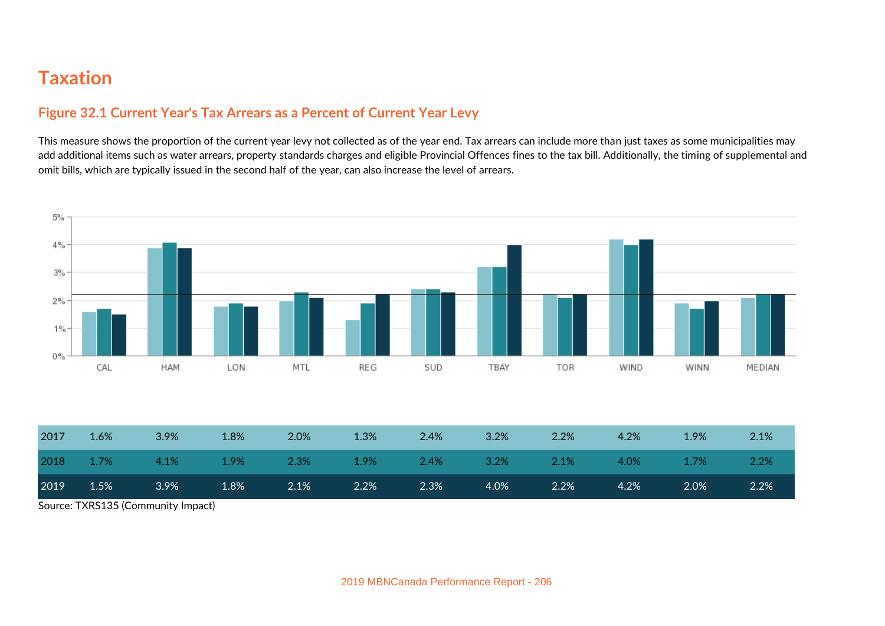## **Figure 32.1 Current Year's Tax Arrears as a Percent of Current Year Levy**

This measure shows the proportion of the current year levy not collected as of the year end. Tax arrears can include more than just taxes as some municipalities may add additional items such as water arrears, property standards charges and eligible Provincial Offences fines to the tax bill. Additionally, the timing of supplemental and omit bills, which are typically issued in the second half of the year, can also increase the level of arrears.



| 2018<br>4.1%<br>1.7%<br>2.3%<br>2.4%<br>3.2%<br>1.9%<br>$2.1\%$<br>1.9%<br>1.7%<br>4.0% | 2017 | 1.6% | 3.9% | 1.8% | 2.0% | 1.3% | 2.4% | 3.2% | 2.2% | 4.2% | 1.9% | 2.1% |
|-----------------------------------------------------------------------------------------|------|------|------|------|------|------|------|------|------|------|------|------|
|                                                                                         |      |      |      |      |      |      |      |      |      |      |      | 2.2% |
| 2019<br>1.5%<br>3.9%<br>2.1%<br>2.0%<br>1.8%<br>2.2%<br>2.3%<br>4.0%<br>2.2%<br>4.2%    |      |      |      |      |      |      |      |      |      |      |      | 2.2% |

Source: TXRS135 (Community Impact)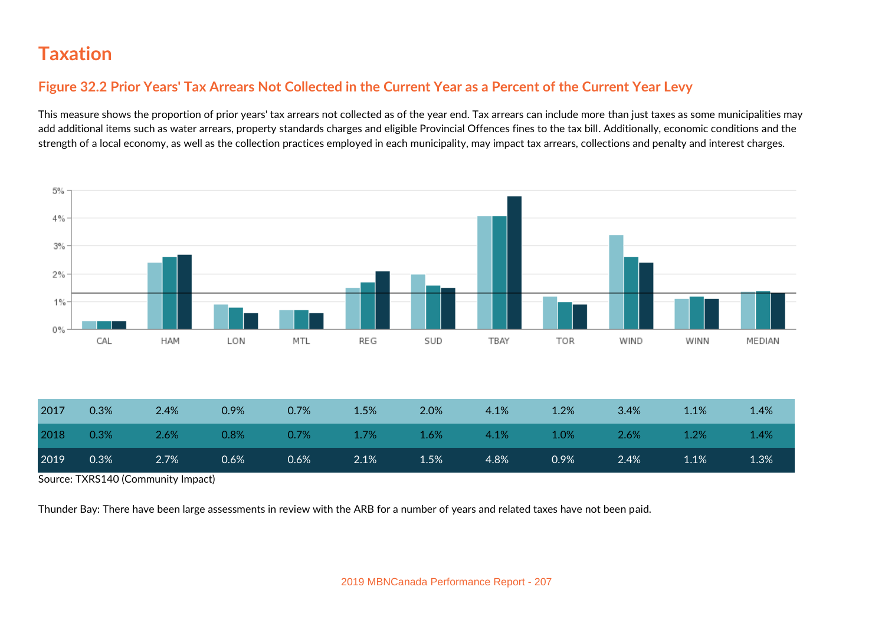#### **Figure 32.2 Prior Years' Tax Arrears Not Collected in the Current Year as a Percent of the Current Year Levy**

This measure shows the proportion of prior years' tax arrears not collected as of the year end. Tax arrears can include more than just taxes as some municipalities may add additional items such as water arrears, property standards charges and eligible Provincial Offences fines to the tax bill. Additionally, economic conditions and the strength of a local economy, as well as the collection practices employed in each municipality, may impact tax arrears, collections and penalty and interest charges.



| 2018 | $0.3\%$ | 2.6%    | 0.8% | $0.7\%$ 1.7% |         | $\sim$ 1.6% | $4.1\%$ | $\setminus$ 1.0% | $-2.6\%$ | $1.2\%$ | 1.4% |
|------|---------|---------|------|--------------|---------|-------------|---------|------------------|----------|---------|------|
| 2019 | 0.3%    | $2.7\%$ | 0.6% | $0.6\%$      | $2.1\%$ | $1.5\%$     | 4.8%    | 0.9%             | $2.4\%$  | $1.1\%$ | 1.3% |

Source: TXRS140 (Community Impact)

Thunder Bay: There have been large assessments in review with the ARB for a number of years and related taxes have not been paid.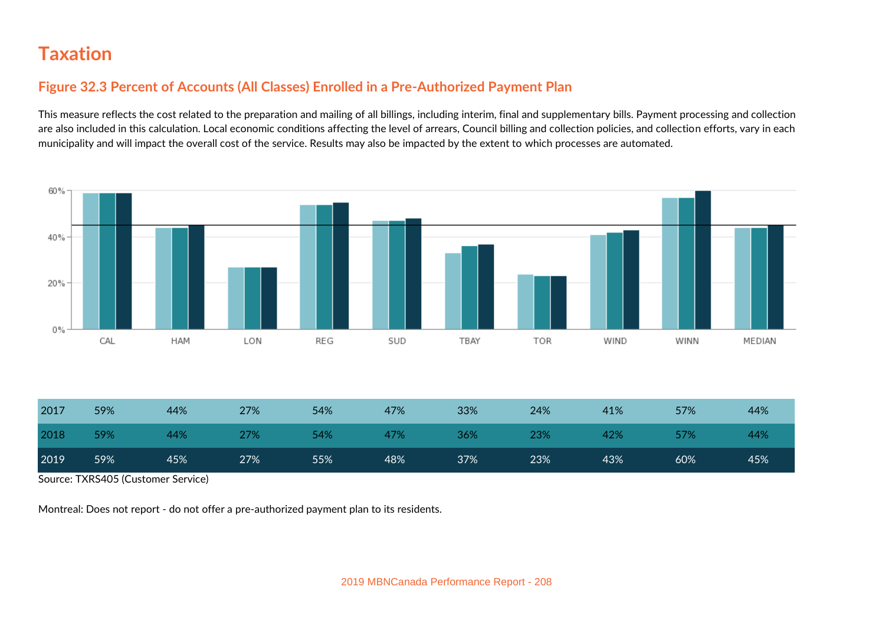### **Figure 32.3 Percent of Accounts (All Classes) Enrolled in a Pre-Authorized Payment Plan**

This measure reflects the cost related to the preparation and mailing of all billings, including interim, final and supplementary bills. Payment processing and collection are also included in this calculation. Local economic conditions affecting the level of arrears, Council billing and collection policies, and collection efforts, vary in each municipality and will impact the overall cost of the service. Results may also be impacted by the extent to which processes are automated.

![](_page_3_Figure_3.jpeg)

| 2017 | 59% | 44% | 27% | 54% | 47% | 33% | 24% | 41% | 57% | 44% |
|------|-----|-----|-----|-----|-----|-----|-----|-----|-----|-----|
| 2018 | 59% | 44% | 27% | 54% | 47% | 36% | 23% | 42% | 57% | 44% |
| 2019 | 59% | 45% | 27% | 55% | 48% | 37% | 23% | 43% | 60% | 45% |

Source: TXRS405 (Customer Service)

Montreal: Does not report - do not offer a pre-authorized payment plan to its residents.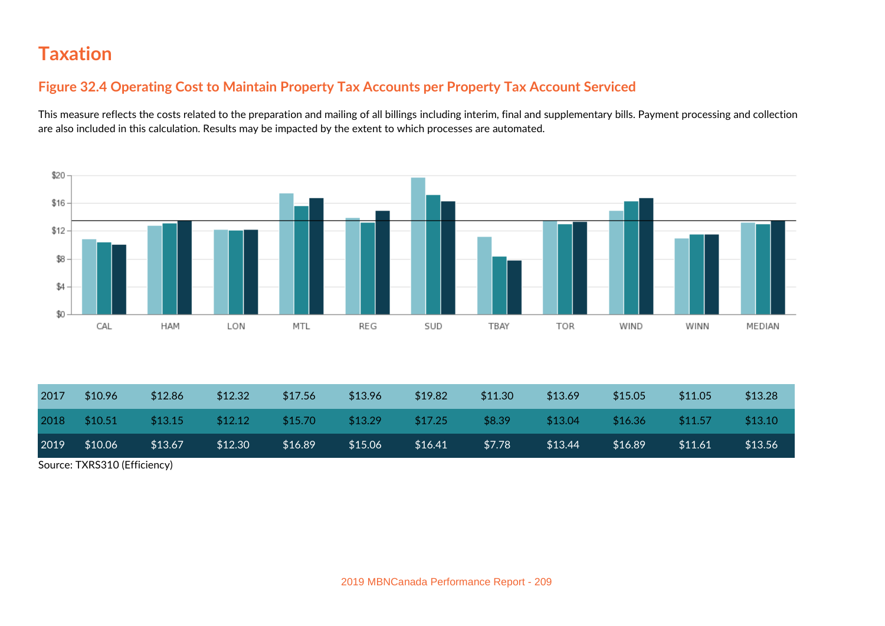## **Figure 32.4 Operating Cost to Maintain Property Tax Accounts per Property Tax Account Serviced**

This measure reflects the costs related to the preparation and mailing of all billings including interim, final and supplementary bills. Payment processing and collection are also included in this calculation. Results may be impacted by the extent to which processes are automated.

![](_page_4_Figure_3.jpeg)

| 2017                         | \$10.96 | \$12.86 | \$12.32 | \$17.56 | \$13.96 | \$19.82 | \$11.30 | \$13.69 | \$15.05 | \$11.05 | \$13.28 |
|------------------------------|---------|---------|---------|---------|---------|---------|---------|---------|---------|---------|---------|
| 2018                         | \$10.51 | \$13.15 | \$12.12 | \$15.70 | \$13.29 | \$17.25 | \$8.39  | \$13.04 | \$16.36 | \$11.57 | \$13.10 |
| 2019                         | \$10.06 | \$13.67 | \$12.30 | \$16.89 | \$15.06 | \$16.41 | \$7.78  | \$13.44 | \$16.89 | \$11.61 | \$13.56 |
| Source: TXRS310 (Efficiency) |         |         |         |         |         |         |         |         |         |         |         |